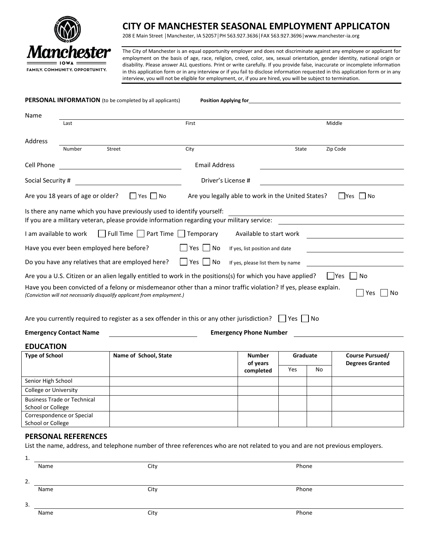

# **CITY OF MANCHESTER SEASONAL EMPLOYMENT APPLICATON**

208 E Main Street │Manchester, IA 52057│PH 563.927.3636│FAX 563.927.3696│www.manchester-ia.org

The City of Manchester is an equal opportunity employer and does not discriminate against any employee or applicant for employment on the basis of age, race, religion, creed, color, sex, sexual orientation, gender identity, national origin or disability. Please answer ALL questions. Print or write carefully. If you provide false, inaccurate or incomplete information in this application form or in any interview or if you fail to disclose information requested in this application form or in any interview, you will not be eligible for employment, or, if you are hired, you will be subject to termination.

| PERSONAL INFORMATION (to be completed by all applicants)<br><b>Position Applying for</b>                                                                                                                                                                                                       |                                    |                       |       |                               |              |    |                                                  |  |
|------------------------------------------------------------------------------------------------------------------------------------------------------------------------------------------------------------------------------------------------------------------------------------------------|------------------------------------|-----------------------|-------|-------------------------------|--------------|----|--------------------------------------------------|--|
| Name                                                                                                                                                                                                                                                                                           |                                    |                       |       |                               |              |    |                                                  |  |
|                                                                                                                                                                                                                                                                                                | Last                               |                       | First |                               |              |    | Middle                                           |  |
| Address                                                                                                                                                                                                                                                                                        |                                    |                       |       |                               |              |    |                                                  |  |
|                                                                                                                                                                                                                                                                                                | <b>Number</b>                      | Street                | City  |                               | <b>State</b> |    | Zip Code                                         |  |
| Cell Phone                                                                                                                                                                                                                                                                                     |                                    | <b>Email Address</b>  |       |                               |              |    |                                                  |  |
| Social Security #                                                                                                                                                                                                                                                                              |                                    |                       |       | Driver's License #            |              |    |                                                  |  |
| $\Box$ Yes $\Box$ No<br>$\Box$ Yes $\Box$ No<br>Are you 18 years of age or older?<br>Are you legally able to work in the United States?                                                                                                                                                        |                                    |                       |       |                               |              |    |                                                  |  |
| Is there any name which you have previously used to identify yourself:<br><u> 1980 - Johann Stoff, deutscher Stoffen und der Stoffen und der Stoffen und der Stoffen und der Stoffen und der</u><br>If you are a military veteran, please provide information regarding your military service: |                                    |                       |       |                               |              |    |                                                  |  |
| Full Time $\Box$ Part Time $\Box$ Temporary<br>I am available to work<br>Available to start work                                                                                                                                                                                               |                                    |                       |       |                               |              |    |                                                  |  |
| Have you ever been employed here before?<br>l Yes I<br>$\Box$ No<br>If yes, list position and date                                                                                                                                                                                             |                                    |                       |       |                               |              |    |                                                  |  |
| Do you have any relatives that are employed here?<br>$\Box$ Yes $\Box$ No<br>If yes, please list them by name                                                                                                                                                                                  |                                    |                       |       |                               |              |    |                                                  |  |
| Are you a U.S. Citizen or an alien legally entitled to work in the positions(s) for which you have applied?<br>lYes<br>l No                                                                                                                                                                    |                                    |                       |       |                               |              |    |                                                  |  |
| Have you been convicted of a felony or misdemeanor other than a minor traffic violation? If yes, please explain.<br>Yes<br>No<br>(Conviction will not necessarily disqualify applicant from employment.)                                                                                       |                                    |                       |       |                               |              |    |                                                  |  |
| Are you currently required to register as a sex offender in this or any other jurisdiction? $\Box$ Yes $\Box$ No                                                                                                                                                                               |                                    |                       |       |                               |              |    |                                                  |  |
|                                                                                                                                                                                                                                                                                                | <b>Emergency Contact Name</b>      |                       |       | <b>Emergency Phone Number</b> |              |    |                                                  |  |
| <b>EDUCATION</b>                                                                                                                                                                                                                                                                               |                                    |                       |       |                               |              |    |                                                  |  |
| <b>Type of School</b>                                                                                                                                                                                                                                                                          |                                    | Name of School, State |       | <b>Number</b><br>of years     | Graduate     |    | <b>Course Pursued/</b><br><b>Degrees Granted</b> |  |
|                                                                                                                                                                                                                                                                                                |                                    |                       |       | completed                     | Yes          | No |                                                  |  |
| Senior High School                                                                                                                                                                                                                                                                             |                                    |                       |       |                               |              |    |                                                  |  |
| College or University                                                                                                                                                                                                                                                                          |                                    |                       |       |                               |              |    |                                                  |  |
|                                                                                                                                                                                                                                                                                                | <b>Business Trade or Technical</b> |                       |       |                               |              |    |                                                  |  |
| School or College                                                                                                                                                                                                                                                                              |                                    |                       |       |                               |              |    |                                                  |  |
| Correspondence or Special                                                                                                                                                                                                                                                                      |                                    |                       |       |                               |              |    |                                                  |  |
| School or College                                                                                                                                                                                                                                                                              |                                    |                       |       |                               |              |    |                                                  |  |

## **PERSONAL REFERENCES**

List the name, address, and telephone number of three references who are not related to you and are not previous employers.

| 1. |      |      |       |
|----|------|------|-------|
|    | Name | City | Phone |
|    |      |      |       |
| 2. |      |      |       |
|    | Name | City | Phone |
|    |      |      |       |
| 3. |      |      |       |
|    | Name | City | Phone |
|    |      |      |       |